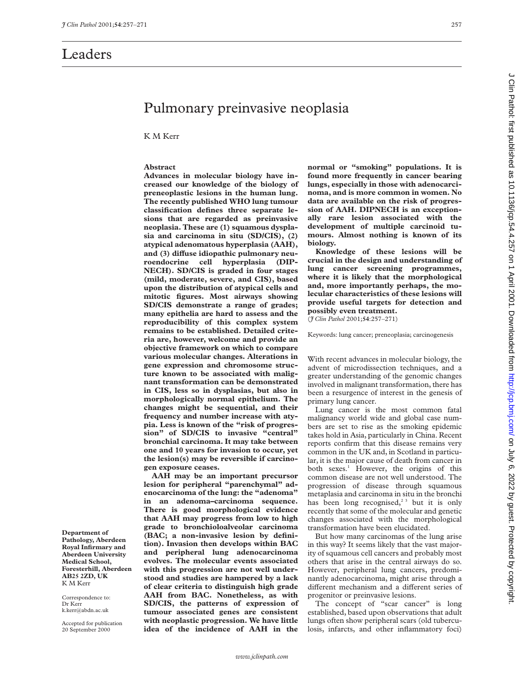# Pulmonary preinvasive neoplasia

K M Kerr

## **Abstract**

**Advances in molecular biology have increased our knowledge of the biology of preneoplastic lesions in the human lung. The recently published WHO lung tumour classification defines three separate lesions that are regarded as preinvasive neoplasia. These are (1) squamous dysplasia and carcinoma in situ (SD/CIS), (2) atypical adenomatous hyperplasia (AAH),** and (3) diffuse idiopathic pulmonary neu**roendocrine cell hyperplasia (DIP-NECH). SD/CIS is graded in four stages (mild, moderate, severe, and CIS), based upon the distribution of atypical cells and mitotic figures. Most airways showing SD/CIS demonstrate a range of grades; many epithelia are hard to assess and the reproducibility of this complex system remains to be established. Detailed criteria are, however, welcome and provide an objective framework on which to compare various molecular changes. Alterations in gene expression and chromosome structure known to be associated with malignant transformation can be demonstrated in CIS, less so in dysplasias, but also in morphologically normal epithelium. The changes might be sequential, and their frequency and number increase with atypia. Less is known of the "risk of progression" of SD/CIS to invasive "central" bronchial carcinoma. It may take between one and 10 years for invasion to occur, yet the lesion(s) may be reversible if carcinogen exposure ceases.**

**AAH may be an important precursor lesion for peripheral "parenchymal" adenocarcinoma of the lung: the "adenoma" in an adenoma–carcinoma sequence. There is good morphological evidence that AAH may progress from low to high grade to bronchioloalveolar carcinoma (BAC; a non-invasive lesion by definition). Invasion then develops within BAC and peripheral lung adenocarcinoma evolves. The molecular events associated with this progression are not well understood and studies are hampered by a lack of clear criteria to distinguish high grade AAH from BAC. Nonetheless, as with SD/CIS, the patterns of expression of tumour associated genes are consistent with neoplastic progression. We have little idea of the incidence of AAH in the**

**normal or "smoking" populations. It is found more frequently in cancer bearing lungs, especially in those with adenocarcinoma, and is more common in women. No data are available on the risk of progression of AAH. DIPNECH is an exceptionally rare lesion associated with the development of multiple carcinoid tumours. Almost nothing is known of its biology.**

**Knowledge of these lesions will be crucial in the design and understanding of lung cancer screening programmes, where it is likely that the morphological and, more importantly perhaps, the molecular characteristics of these lesions will provide useful targets for detection and possibly even treatment.** (*J Clin Pathol* 2001;**54**:257–271)

Keywords: lung cancer; preneoplasia; carcinogenesis

With recent advances in molecular biology, the advent of microdissection techniques, and a greater understanding of the genomic changes involved in malignant transformation, there has been a resurgence of interest in the genesis of primary lung cancer.

Lung cancer is the most common fatal malignancy world wide and global case numbers are set to rise as the smoking epidemic takes hold in Asia, particularly in China. Recent reports confirm that this disease remains very common in the UK and, in Scotland in particular, it is the major cause of death from cancer in both sexes.<sup>1</sup> However, the origins of this common disease are not well understood. The progression of disease through squamous metaplasia and carcinoma in situ in the bronchi has been long recognised,<sup>23</sup> but it is only recently that some of the molecular and genetic changes associated with the morphological transformation have been elucidated.

But how many carcinomas of the lung arise in this way? It seems likely that the vast majority of squamous cell cancers and probably most others that arise in the central airways do so. However, peripheral lung cancers, predominantly adenocarcinoma, might arise through a different mechanism and a different series of progenitor or preinvasive lesions.

The concept of "scar cancer" is long established, based upon observations that adult lungs often show peripheral scars (old tuberculosis, infarcts, and other inflammatory foci)

 on July 6, 2022 by guest. Protected by copyright. <http://jcp.bmj.com/> J Clin Pathol: first published as 10.1136/jcp.54.4.257 on 1 April 2001. Downloaded from Clin Pathol: first published as 10.11196/cp.54.4.257 on 1 April 2001. Downloaded from http://jcp.bmj.com/ on July 6, 2022 by guest. Protected by copyright

**Department of Pathology, Aberdeen Royal Infirmary and Aberdeen University Medical School, Foresterhill, Aberdeen AB25 2ZD, UK** K M Kerr

Correspondence to: Dr Kerr k.kerr@abdn.ac.uk

Accepted for publication 20 September 2000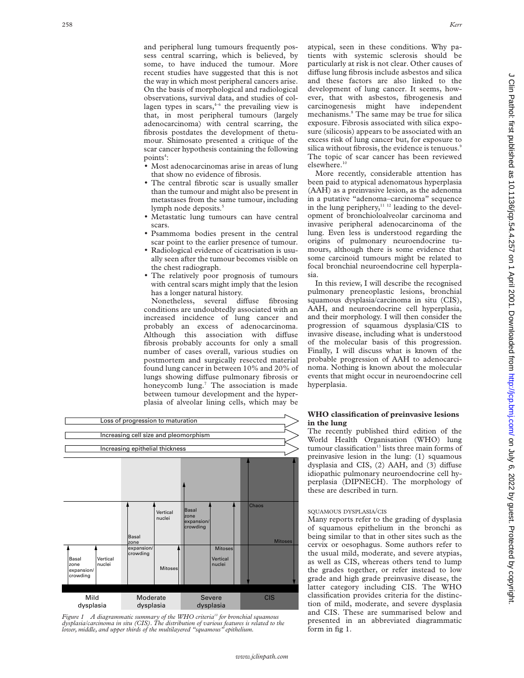and peripheral lung tumours frequently possess central scarring, which is believed, by some, to have induced the tumour. More recent studies have suggested that this is not the way in which most peripheral cancers arise. On the basis of morphological and radiological observations, survival data, and studies of collagen types in scars,  $4-6$  the prevailing view is that, in most peripheral tumours (largely adenocarcinoma) with central scarring, the fibrosis postdates the development of thetumour. Shimosato presented a critique of the scar cancer hypothesis containing the following  $points<sup>4</sup>:$ 

- Most adenocarcinomas arise in areas of lung that show no evidence of fibrosis.
- The central fibrotic scar is usually smaller than the tumour and might also be present in metastases from the same tumour, including lymph node deposits.<sup>5</sup>
- Metastatic lung tumours can have central scars.
- Psammoma bodies present in the central scar point to the earlier presence of tumour.
- Radiological evidence of cicatrisation is usually seen after the tumour becomes visible on the chest radiograph.
- The relatively poor prognosis of tumours with central scars might imply that the lesion has a longer natural history.

Nonetheless, several diffuse fibrosing conditions are undoubtedly associated with an increased incidence of lung cancer and probably an excess of adenocarcinoma. Although this association with diffuse fibrosis probably accounts for only a small number of cases overall, various studies on postmortem and surgically resected material found lung cancer in between 10% and 20% of lungs showing diffuse pulmonary fibrosis or honeycomb lung.<sup>7</sup> The association is made between tumour development and the hyperplasia of alveolar lining cells, which may be



*Figure 1 A diagrammatic summary of the WHO criteria13 for bronchial squamous dysplasia/carcinoma in situ (CIS). The distribution of various features is related to the lower, middle, and upper thirds of the multilayered "squamous" epithelium.*

atypical, seen in these conditions. Why patients with systemic sclerosis should be particularly at risk is not clear. Other causes of diffuse lung fibrosis include asbestos and silica and these factors are also linked to the development of lung cancer. It seems, however, that with asbestos, fibrogenesis and carcinogenesis might have independent mechanisms.<sup>8</sup> The same may be true for silica exposure. Fibrosis associated with silica exposure (silicosis) appears to be associated with an excess risk of lung cancer but, for exposure to silica without fibrosis, the evidence is tenuous.<sup>9</sup> The topic of scar cancer has been reviewed elsewhere.<sup>10</sup>

More recently, considerable attention has been paid to atypical adenomatous hyperplasia (AAH) as a preinvasive lesion, as the adenoma in a putative "adenoma–carcinoma" sequence in the lung periphery, $11$   $12$  leading to the development of bronchioloalveolar carcinoma and invasive peripheral adenocarcinoma of the lung. Even less is understood regarding the origins of pulmonary neuroendocrine tumours, although there is some evidence that some carcinoid tumours might be related to focal bronchial neuroendocrine cell hyperplasia.

In this review, I will describe the recognised pulmonary preneoplastic lesions, bronchial squamous dysplasia/carcinoma in situ (CIS), AAH, and neuroendocrine cell hyperplasia, and their morphology. I will then consider the progression of squamous dysplasia/CIS to invasive disease, including what is understood of the molecular basis of this progression. Finally, I will discuss what is known of the probable progression of AAH to adenocarcinoma. Nothing is known about the molecular events that might occur in neuroendocrine cell hyperplasia.

# **WHO classification of preinvasive lesions in the lung**

The recently published third edition of the World Health Organisation (WHO) lung tumour classification<sup>13</sup> lists three main forms of preinvasive lesion in the lung: (1) squamous dysplasia and CIS,  $(2)$  AAH, and  $(3)$  diffuse idiopathic pulmonary neuroendocrine cell hyperplasia (DIPNECH). The morphology of these are described in turn.

## SQUAMOUS DYSPLASIA/CIS

Many reports refer to the grading of dysplasia of squamous epithelium in the bronchi as being similar to that in other sites such as the cervix or oesophagus. Some authors refer to the usual mild, moderate, and severe atypias, as well as CIS, whereas others tend to lump the grades together, or refer instead to low grade and high grade preinvasive disease, the latter category including CIS. The WHO classification provides criteria for the distinction of mild, moderate, and severe dysplasia and CIS. These are summarised below and presented in an abbreviated diagrammatic form in fig 1.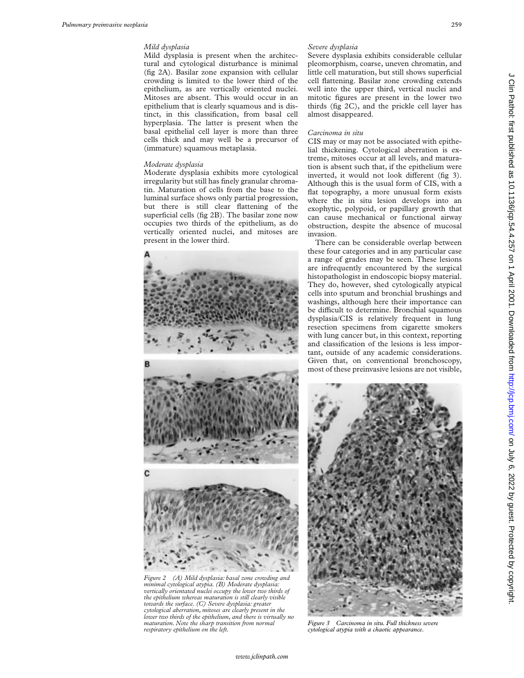## *Mild dysplasia*

Mild dysplasia is present when the architectural and cytological disturbance is minimal (fig 2A). Basilar zone expansion with cellular crowding is limited to the lower third of the epithelium, as are vertically oriented nuclei. Mitoses are absent. This would occur in an epithelium that is clearly squamous and is distinct, in this classification, from basal cell hyperplasia. The latter is present when the basal epithelial cell layer is more than three cells thick and may well be a precursor of (immature) squamous metaplasia.

#### *Moderate dysplasia*

Moderate dysplasia exhibits more cytological irregularity but still has finely granular chromatin. Maturation of cells from the base to the luminal surface shows only partial progression, but there is still clear flattening of the superficial cells (fig 2B). The basilar zone now occupies two thirds of the epithelium, as do vertically oriented nuclei, and mitoses are present in the lower third.



*Figure 2 (A) Mild dysplasia: basal zone crowding and minimal cytological atypia. (B) Moderate dysplasia: vertically orientated nuclei occupy the lower two thirds of the epithelium whereas maturation is still clearly visible towards the surface. (C) Severe dysplasia: greater cytological aberration, mitoses are clearly present in the lower two thirds of the epithelium, and there is virtually no maturation. Note the sharp transition from normal respiratory epithelium on the left.*

## *Severe dysplasia*

Severe dysplasia exhibits considerable cellular pleomorphism, coarse, uneven chromatin, and little cell maturation, but still shows superficial cell flattening. Basilar zone crowding extends well into the upper third, vertical nuclei and mitotic figures are present in the lower two thirds (fig 2C), and the prickle cell layer has almost disappeared.

## *Carcinoma in situ*

CIS may or may not be associated with epithelial thickening. Cytological aberration is extreme, mitoses occur at all levels, and maturation is absent such that, if the epithelium were inverted, it would not look different (fig 3). Although this is the usual form of CIS, with a flat topography, a more unusual form exists where the in situ lesion develops into an exophytic, polypoid, or papillary growth that can cause mechanical or functional airway obstruction, despite the absence of mucosal invasion.

There can be considerable overlap between these four categories and in any particular case a range of grades may be seen. These lesions are infrequently encountered by the surgical histopathologist in endoscopic biopsy material. They do, however, shed cytologically atypical cells into sputum and bronchial brushings and washings, although here their importance can be difficult to determine. Bronchial squamous dysplasia/CIS is relatively frequent in lung resection specimens from cigarette smokers with lung cancer but, in this context, reporting and classification of the lesions is less important, outside of any academic considerations. Given that, on conventional bronchoscopy, most of these preinvasive lesions are not visible,



*Figure 3 Carcinoma in situ. Full thickness severe cytological atypia with a chaotic appearance.*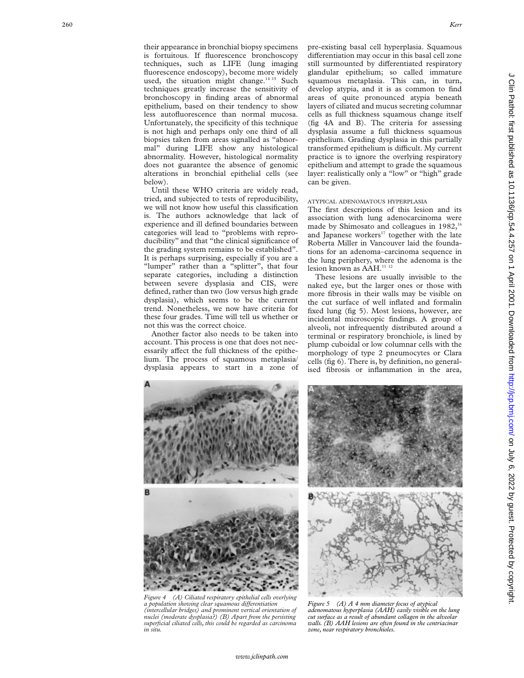their appearance in bronchial biopsy specimens is fortuitous. If fluorescence bronchoscopy techniques, such as LIFE (lung imaging fluorescence endoscopy), become more widely used, the situation might change.<sup>14 15</sup> Such techniques greatly increase the sensitivity of bronchoscopy in finding areas of abnormal epithelium, based on their tendency to show less autofluorescence than normal mucosa. Unfortunately, the specificity of this technique is not high and perhaps only one third of all biopsies taken from areas signalled as "abnormal" during LIFE show any histological abnormality. However, histological normality does not guarantee the absence of genomic alterations in bronchial epithelial cells (see below).

Until these WHO criteria are widely read, tried, and subjected to tests of reproducibility, we will not know how useful this classification is. The authors acknowledge that lack of experience and ill defined boundaries between categories will lead to "problems with reproducibility" and that "the clinical significance of the grading system remains to be established". It is perhaps surprising, especially if you are a "lumper" rather than a "splitter", that four separate categories, including a distinction between severe dysplasia and CIS, were defined, rather than two (low versus high grade dysplasia), which seems to be the current trend. Nonetheless, we now have criteria for these four grades. Time will tell us whether or not this was the correct choice.

Another factor also needs to be taken into account. This process is one that does not necessarily affect the full thickness of the epithelium. The process of squamous metaplasia/ dysplasia appears to start in a zone of pre-existing basal cell hyperplasia. Squamous differentiation may occur in this basal cell zone still surmounted by differentiated respiratory glandular epithelium; so called immature squamous metaplasia. This can, in turn, develop atypia, and it is as common to find areas of quite pronounced atypia beneath layers of ciliated and mucus secreting columnar cells as full thickness squamous change itself (fig 4A and B). The criteria for assessing dysplasia assume a full thickness squamous epithelium. Grading dysplasia in this partially transformed epithelium is difficult. My current practice is to ignore the overlying respiratory epithelium and attempt to grade the squamous layer: realistically only a "low" or "high" grade can be given.

#### ATYPICAL ADENOMATOUS HYPERPLASIA

The first descriptions of this lesion and its association with lung adenocarcinoma were made by Shimosato and colleagues in  $1982$ ,<sup>16</sup> and Japanese workers<sup>17</sup> together with the late Roberta Miller in Vancouver laid the foundations for an adenoma–carcinoma sequence in the lung periphery, where the adenoma is the lesion known as AAH.<sup>11 12</sup>

These lesions are usually invisible to the naked eye, but the larger ones or those with more fibrosis in their walls may be visible on the cut surface of well inflated and formalin fixed lung (fig 5). Most lesions, however, are incidental microscopic findings. A group of alveoli, not infrequently distributed around a terminal or respiratory bronchiole, is lined by plump cuboidal or low columnar cells with the morphology of type 2 pneumocytes or Clara cells (fig 6). There is, by definition, no generalised fibrosis or inflammation in the area,



*Figure 4 (A) Ciliated respiratory epithelial cells overlying a population showing clear squamous diVerentiation (intercellular bridges) and prominent vertical orientation of nuclei (moderate dysplasia?) (B) Apart from the persisting superficial ciliated cells, this could be regarded as carcinoma in situ.*



*Figure 5 (A) A 4 mm diameter focus of atypical adenomatous hyperplasia (AAH) easily visible on the lung cut surface as a result of abundant collagen in the alveolar walls. (B) AAH lesions are often found in the centriacinar zone, near respiratory bronchioles.*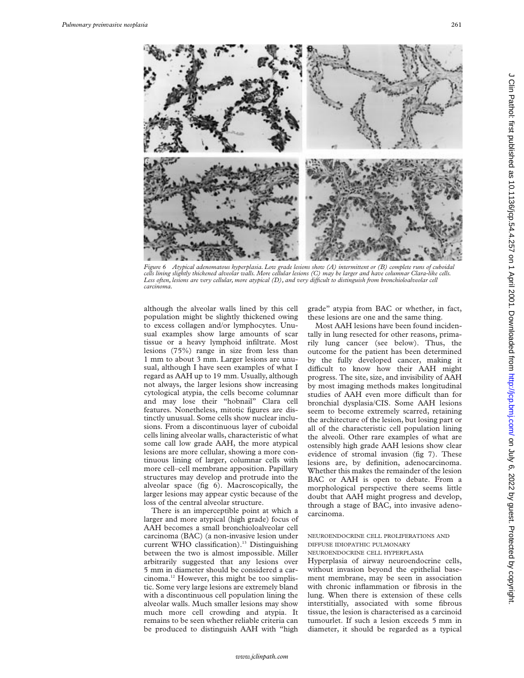

*Figure 6 Atypical adenomatous hyperplasia. Low grade lesions show (A) intermittent or (B) complete runs of cuboidal cells lining slightly thickened alveolar walls. More cellular lesions (C) may be larger and have columnar Clara-like cells.* Less often, lesions are very cellular, more atypical (D), and very difficult to distinguish from bronchioloalveolar cell *carcinoma.*

although the alveolar walls lined by this cell population might be slightly thickened owing to excess collagen and/or lymphocytes. Unusual examples show large amounts of scar tissue or a heavy lymphoid infiltrate. Most lesions (75%) range in size from less than 1 mm to about 3 mm. Larger lesions are unusual, although I have seen examples of what I regard as AAH up to 19 mm. Usually, although not always, the larger lesions show increasing cytological atypia, the cells become columnar and may lose their "hobnail" Clara cell features. Nonetheless, mitotic figures are distinctly unusual. Some cells show nuclear inclusions. From a discontinuous layer of cuboidal cells lining alveolar walls, characteristic of what some call low grade AAH, the more atypical lesions are more cellular, showing a more continuous lining of larger, columnar cells with more cell–cell membrane apposition. Papillary structures may develop and protrude into the alveolar space (fig 6). Macroscopically, the larger lesions may appear cystic because of the loss of the central alveolar structure.

There is an imperceptible point at which a larger and more atypical (high grade) focus of AAH becomes a small bronchioloalveolar cell carcinoma (BAC) (a non-invasive lesion under current WHO classification).<sup>13</sup> Distinguishing between the two is almost impossible. Miller arbitrarily suggested that any lesions over 5 mm in diameter should be considered a carcinoma.12 However, this might be too simplistic. Some very large lesions are extremely bland with a discontinuous cell population lining the alveolar walls. Much smaller lesions may show much more cell crowding and atypia. It remains to be seen whether reliable criteria can be produced to distinguish AAH with "high

grade" atypia from BAC or whether, in fact, these lesions are one and the same thing.

Most AAH lesions have been found incidentally in lung resected for other reasons, primarily lung cancer (see below). Thus, the outcome for the patient has been determined by the fully developed cancer, making it difficult to know how their AAH might progress. The site, size, and invisibility of AAH by most imaging methods makes longitudinal studies of AAH even more difficult than for bronchial dysplasia/CIS. Some AAH lesions seem to become extremely scarred, retaining the architecture of the lesion, but losing part or all of the characteristic cell population lining the alveoli. Other rare examples of what are ostensibly high grade AAH lesions show clear evidence of stromal invasion (fig 7). These lesions are, by definition, adenocarcinoma. Whether this makes the remainder of the lesion BAC or AAH is open to debate. From a morphological perspective there seems little doubt that AAH might progress and develop, through a stage of BAC, into invasive adenocarcinoma.

# NEUROENDOCRINE CELL PROLIFERATIONS AND DIFFUSE IDIOPATHIC PULMONARY

NEUROENDOCRINE CELL HYPERPLASIA

Hyperplasia of airway neuroendocrine cells, without invasion beyond the epithelial basement membrane, may be seen in association with chronic inflammation or fibrosis in the lung. When there is extension of these cells interstitially, associated with some fibrous tissue, the lesion is characterised as a carcinoid tumourlet. If such a lesion exceeds 5 mm in diameter, it should be regarded as a typical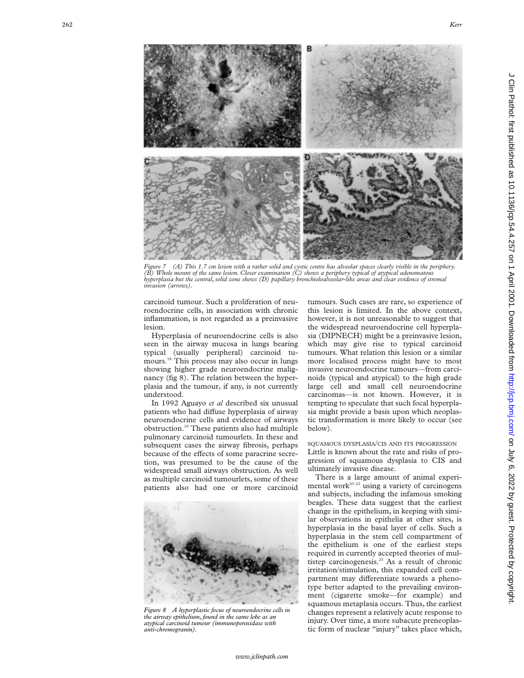*Figure 7 (A) This 1.7 cm lesion with a rather solid and cystic centre has alveolar spaces clearly visible in the periphery. (B) Whole mount of the same lesion. Closer examination (C) shows a periphery typical of atypical adenomatous hyperplasia but the central, solid zone shows (D) papillary bronchioloalveolar-like areas and clear evidence of stromal invasion (arrows).*

carcinoid tumour. Such a proliferation of neuroendocrine cells, in association with chronic inflammation, is not regarded as a preinvasive lesion.

Hyperplasia of neuroendocrine cells is also seen in the airway mucosa in lungs bearing typical (usually peripheral) carcinoid tumours.<sup>18</sup> This process may also occur in lungs showing higher grade neuroendocrine malignancy (fig 8). The relation between the hyperplasia and the tumour, if any, is not currently understood.

In 1992 Aguayo *et al* described six unusual patients who had diffuse hyperplasia of airway neuroendocrine cells and evidence of airways obstruction.19 These patients also had multiple pulmonary carcinoid tumourlets. In these and subsequent cases the airway fibrosis, perhaps because of the effects of some paracrine secretion, was presumed to be the cause of the widespread small airways obstruction. As well as multiple carcinoid tumourlets, some of these patients also had one or more carcinoid



*Figure 8 A hyperplastic focus of neuroendocrine cells in the airway epithelium, found in the same lobe as an atypical carcinoid tumour (immunoperoxidase with anti-chromogranin).*

tumours. Such cases are rare, so experience of this lesion is limited. In the above context, however, it is not unreasonable to suggest that the widespread neuroendocrine cell hyperplasia (DIPNECH) might be a preinvasive lesion, which may give rise to typical carcinoid tumours. What relation this lesion or a similar more localised process might have to most invasive neuroendocrine tumours—from carcinoids (typical and atypical) to the high grade large cell and small cell neuroendocrine carcinomas—is not known. However, it is tempting to speculate that such focal hyperplasia might provide a basis upon which neoplastic transformation is more likely to occur (see below).

SQUAMOUS DYSPLASIA /CIS AND ITS PROGRESSION Little is known about the rate and risks of progression of squamous dysplasia to CIS and ultimately invasive disease.

There is a large amount of animal experimental work<sup>20-22</sup> using a variety of carcinogens and subjects, including the infamous smoking beagles. These data suggest that the earliest change in the epithelium, in keeping with similar observations in epithelia at other sites, is hyperplasia in the basal layer of cells. Such a hyperplasia in the stem cell compartment of the epithelium is one of the earliest steps required in currently accepted theories of multistep carcinogenesis.<sup>23</sup> As a result of chronic irritation/stimulation, this expanded cell compartment may differentiate towards a phenotype better adapted to the prevailing environment (cigarette smoke—for example) and squamous metaplasia occurs. Thus, the earliest changes represent a relatively acute response to injury. Over time, a more subacute preneoplastic form of nuclear "injury" takes place which,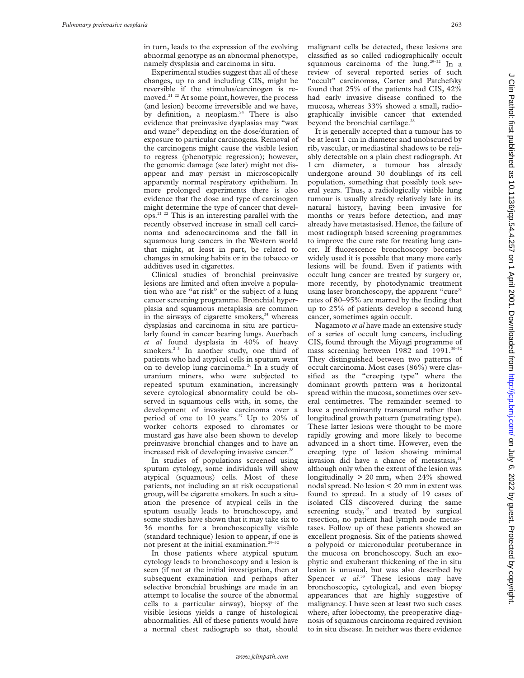in turn, leads to the expression of the evolving abnormal genotype as an abnormal phenotype, namely dysplasia and carcinoma in situ.

Experimental studies suggest that all of these changes, up to and including CIS, might be reversible if the stimulus/carcinogen is removed.21 22 At some point, however, the process (and lesion) become irreversible and we have, by definition, a neoplasm. $24$  There is also evidence that preinvasive dysplasias may "wax and wane" depending on the dose/duration of exposure to particular carcinogens. Removal of the carcinogens might cause the visible lesion to regress (phenotypic regression); however, the genomic damage (see later) might not disappear and may persist in microscopically apparently normal respiratory epithelium. In more prolonged experiments there is also evidence that the dose and type of carcinogen might determine the type of cancer that develops.21 22 This is an interesting parallel with the recently observed increase in small cell carcinoma and adenocarcinoma and the fall in squamous lung cancers in the Western world that might, at least in part, be related to changes in smoking habits or in the tobacco or additives used in cigarettes.

Clinical studies of bronchial preinvasive lesions are limited and often involve a population who are "at risk" or the subject of a lung cancer screening programme. Bronchial hyperplasia and squamous metaplasia are common in the airways of cigarette smokers, $25$  whereas dysplasias and carcinoma in situ are particularly found in cancer bearing lungs. Auerbach *et al* found dysplasia in 40% of heavy smokers. $23$  In another study, one third of patients who had atypical cells in sputum went on to develop lung carcinoma.<sup>26</sup> In a study of uranium miners, who were subjected to repeated sputum examination, increasingly severe cytological abnormality could be observed in squamous cells with, in some, the development of invasive carcinoma over a period of one to 10 years.<sup>27</sup> Up to 20% of worker cohorts exposed to chromates or mustard gas have also been shown to develop preinvasive bronchial changes and to have an increased risk of developing invasive cancer.<sup>2</sup>

In studies of populations screened using sputum cytology, some individuals will show atypical (squamous) cells. Most of these patients, not including an at risk occupational group, will be cigarette smokers. In such a situation the presence of atypical cells in the sputum usually leads to bronchoscopy, and some studies have shown that it may take six to 36 months for a bronchoscopically visible (standard technique) lesion to appear, if one is not present at the initial examination.29–32

In those patients where atypical sputum cytology leads to bronchoscopy and a lesion is seen (if not at the initial investigation, then at subsequent examination and perhaps after selective bronchial brushings are made in an attempt to localise the source of the abnormal cells to a particular airway), biopsy of the visible lesions yields a range of histological abnormalities. All of these patients would have a normal chest radiograph so that, should malignant cells be detected, these lesions are classified as so called radiographically occult squamous carcinoma of the lung.<sup>29-32</sup> In a review of several reported series of such "occult" carcinomas, Carter and Patchefsky found that 25% of the patients had CIS, 42% had early invasive disease confined to the mucosa, whereas 33% showed a small, radiographically invisible cancer that extended beyond the bronchial cartilage.<sup>28</sup>

It is generally accepted that a tumour has to be at least 1 cm in diameter and unobscured by rib, vascular, or mediastinal shadows to be reliably detectable on a plain chest radiograph. At 1 cm diameter, a tumour has already undergone around 30 doublings of its cell population, something that possibly took several years. Thus, a radiologically visible lung tumour is usually already relatively late in its natural history, having been invasive for months or years before detection, and may already have metastasised. Hence, the failure of most radiograph based screening programmes to improve the cure rate for treating lung cancer. If fluorescence bronchoscopy becomes widely used it is possible that many more early lesions will be found. Even if patients with occult lung cancer are treated by surgery or, more recently, by photodynamic treatment using laser bronchoscopy, the apparent "cure" rates of 80–95% are marred by the finding that up to 25% of patients develop a second lung cancer, sometimes again occult.

Nagamoto *et al* have made an extensive study of a series of occult lung cancers, including CIS, found through the Miyagi programme of mass screening between 1982 and 1991.<sup>30-32</sup> They distinguished between two patterns of occult carcinoma. Most cases (86%) were classified as the "creeping type" where the dominant growth pattern was a horizontal spread within the mucosa, sometimes over several centimetres. The remainder seemed to have a predominantly transmural rather than longitudinal growth pattern (penetrating type). These latter lesions were thought to be more rapidly growing and more likely to become advanced in a short time. However, even the creeping type of lesion showing minimal invasion did have a chance of metastasis,<sup>31</sup> although only when the extent of the lesion was longitudinally  $> 20$  mm, when  $24\%$  showed nodal spread. No lesion < 20 mm in extent was found to spread. In a study of 19 cases of isolated CIS discovered during the same screening  $study<sup>32</sup>$  and treated by surgical resection, no patient had lymph node metastases. Follow up of these patients showed an excellent prognosis. Six of the patients showed a polypoid or micronodular protuberance in the mucosa on bronchoscopy. Such an exophytic and exuberant thickening of the in situ lesion is unusual, but was also described by Spencer *et al.*<sup>33</sup> These lesions may have bronchoscopic, cytological, and even biopsy appearances that are highly suggestive of malignancy. I have seen at least two such cases where, after lobectomy, the preoperative diagnosis of squamous carcinoma required revision to in situ disease. In neither was there evidence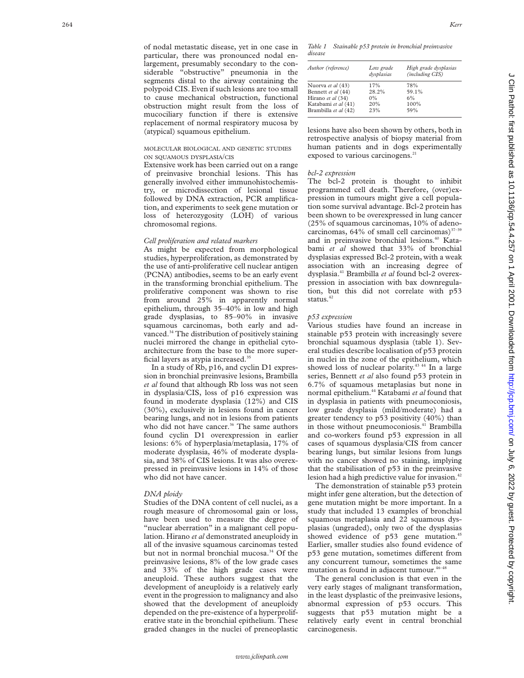of nodal metastatic disease, yet in one case in particular, there was pronounced nodal enlargement, presumably secondary to the considerable "obstructive" pneumonia in the segments distal to the airway containing the polypoid CIS. Even if such lesions are too small to cause mechanical obstruction, functional obstruction might result from the loss of mucociliary function if there is extensive replacement of normal respiratory mucosa by (atypical) squamous epithelium.

## MOLECULAR BIOLOGICAL AND GENETIC STUDIES ON SQUAMOUS DYSPLASIA /CIS

Extensive work has been carried out on a range of preinvasive bronchial lesions. This has generally involved either immunohistochemistry, or microdissection of lesional tissue followed by DNA extraction, PCR amplification, and experiments to seek gene mutation or loss of heterozygosity (LOH) of various chromosomal regions.

#### *Cell proliferation and related markers*

As might be expected from morphological studies, hyperproliferation, as demonstrated by the use of anti-proliferative cell nuclear antigen (PCNA) antibodies, seems to be an early event in the transforming bronchial epithelium. The proliferative component was shown to rise from around 25% in apparently normal epithelium, through 35–40% in low and high grade dysplasias, to 85–90% in invasive squamous carcinomas, both early and advanced.<sup>34</sup> The distribution of positively staining nuclei mirrored the change in epithelial cytoarchitecture from the base to the more superficial layers as atypia increased.35

In a study of Rb, p16, and cyclin D1 expression in bronchial preinvasive lesions, Brambilla *et al* found that although Rb loss was not seen in dysplasia/CIS, loss of p16 expression was found in moderate dysplasia (12%) and CIS (30%), exclusively in lesions found in cancer bearing lungs, and not in lesions from patients who did not have cancer.<sup>36</sup> The same authors found cyclin D1 overexpression in earlier lesions: 6% of hyperplasia/metaplasia, 17% of moderate dysplasia, 46% of moderate dysplasia, and 38% of CIS lesions. It was also overexpressed in preinvasive lesions in 14% of those who did not have cancer.

#### *DNA ploidy*

Studies of the DNA content of cell nuclei, as a rough measure of chromosomal gain or loss, have been used to measure the degree of "nuclear aberration" in a malignant cell population. Hirano *et al* demonstrated aneuploidy in all of the invasive squamous carcinomas tested but not in normal bronchial mucosa.<sup>34</sup> Of the preinvasive lesions, 8% of the low grade cases and 33% of the high grade cases were aneuploid. These authors suggest that the development of aneuploidy is a relatively early event in the progression to malignancy and also showed that the development of aneuploidy depended on the pre-existence of a hyperproliferative state in the bronchial epithelium. These graded changes in the nuclei of preneoplastic

*Table 1 Stainable p53 protein in bronchial preinvasive disease*

| Author (reference)   | Low grade<br>dysplasias | High grade dysplasias<br>(including CIS) |
|----------------------|-------------------------|------------------------------------------|
| Nuorva et al (43)    | 17%                     | 78%                                      |
| Bennett et al (44)   | 28.2%                   | 59.1%                                    |
| Hirano et al (34)    | $0\%$                   | 6%                                       |
| Katabami et al (41)  | 20%                     | 100%                                     |
| Brambilla et al (42) | 23%                     | 59%                                      |

lesions have also been shown by others, both in retrospective analysis of biopsy material from human patients and in dogs experimentally exposed to various carcinogens.<sup>21</sup>

## *bcl-2 expression*

The bcl-2 protein is thought to inhibit programmed cell death. Therefore, (over)expression in tumours might give a cell population some survival advantage. Bcl-2 protein has been shown to be overexpressed in lung cancer (25% of squamous carcinomas, 10% of adenocarcinomas,  $64\%$  of small cell carcinomas)<sup>37-39</sup> and in preinvasive bronchial lesions.<sup>40</sup> Katabami *et al* showed that 33% of bronchial dysplasias expressed Bcl-2 protein, with a weak association with an increasing degree of dysplasia.41 Brambilla *et al* found bcl-2 overexpression in association with bax downregulation, but this did not correlate with p53 status.<sup>42</sup>

## *p53 expression*

Various studies have found an increase in stainable p53 protein with increasingly severe bronchial squamous dysplasia (table 1). Several studies describe localisation of p53 protein in nuclei in the zone of the epithelium, which showed loss of nuclear polarity.<sup>43 44</sup> In a large series, Bennett *et al* also found p53 protein in 6.7% of squamous metaplasias but none in normal epithelium.44 Katabami *et al* found that in dysplasia in patients with pneumoconiosis, low grade dysplasia (mild/moderate) had a greater tendency to p53 positivity (40%) than in those without pneumoconiosis.<sup>41</sup> Brambilla and co-workers found p53 expression in all cases of squamous dysplasia/CIS from cancer bearing lungs, but similar lesions from lungs with no cancer showed no staining, implying that the stabilisation of p53 in the preinvasive lesion had a high predictive value for invasion.<sup>42</sup>

The demonstration of stainable p53 protein might infer gene alteration, but the detection of gene mutation might be more important. In a study that included 13 examples of bronchial squamous metaplasia and 22 squamous dysplasias (ungraded), only two of the dysplasias showed evidence of p53 gene mutation.<sup>45</sup> Earlier, smaller studies also found evidence of p53 gene mutation, sometimes different from any concurrent tumour, sometimes the same mutation as found in adjacent tumour.<sup>46-4</sup>

The general conclusion is that even in the very early stages of malignant transformation, in the least dysplastic of the preinvasive lesions, abnormal expression of p53 occurs. This suggests that p53 mutation might be a relatively early event in central bronchial carcinogenesis.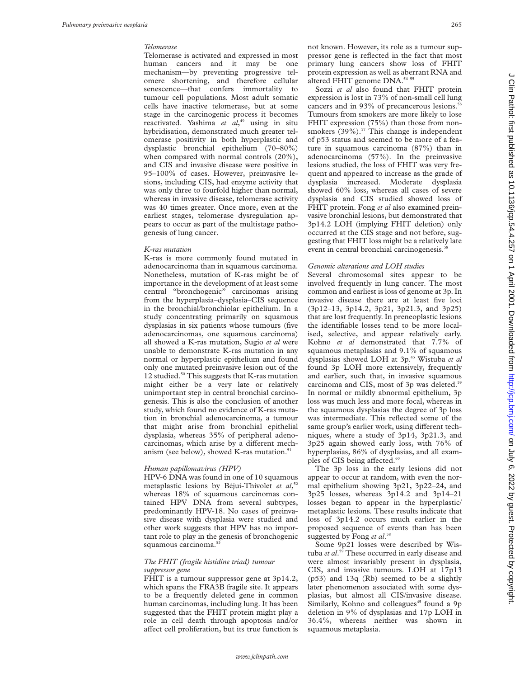#### *Telomerase*

Telomerase is activated and expressed in most human cancers and it may be one mechanism—by preventing progressive telomere shortening, and therefore cellular senescence—that confers immortality to tumour cell populations. Most adult somatic cells have inactive telomerase, but at some stage in the carcinogenic process it becomes reactivated. Yashima *et al*, <sup>49</sup> using in situ hybridisation, demonstrated much greater telomerase positivity in both hyperplastic and dysplastic bronchial epithelium (70–80%) when compared with normal controls (20%), and CIS and invasive disease were positive in 95–100% of cases. However, preinvasive lesions, including CIS, had enzyme activity that was only three to fourfold higher than normal, whereas in invasive disease, telomerase activity was 40 times greater. Once more, even at the earliest stages, telomerase dysregulation appears to occur as part of the multistage pathogenesis of lung cancer.

#### *K-ras mutation*

K-ras is more commonly found mutated in adenocarcinoma than in squamous carcinoma. Nonetheless, mutation of K-ras might be of importance in the development of at least some central "bronchogenic" carcinomas arising from the hyperplasia–dysplasia–CIS sequence in the bronchial/bronchiolar epithelium. In a study concentrating primarily on squamous dysplasias in six patients whose tumours (five adenocarcinomas, one squamous carcinoma) all showed a K-ras mutation, Sugio *et al* were unable to demonstrate K-ras mutation in any normal or hyperplastic epithelium and found only one mutated preinvasive lesion out of the 12 studied.<sup>50</sup> This suggests that K-ras mutation might either be a very late or relatively unimportant step in central bronchial carcinogenesis. This is also the conclusion of another study, which found no evidence of K-ras mutation in bronchial adenocarcinoma, a tumour that might arise from bronchial epithelial dysplasia, whereas 35% of peripheral adenocarcinomas, which arise by a different mechanism (see below), showed K-ras mutation.<sup>51</sup>

#### *Human papillomavirus (HPV)*

HPV-6 DNA was found in one of 10 squamous metaplastic lesions by Béjui-Thivolet *et al*, 52 whereas 18% of squamous carcinomas contained HPV DNA from several subtypes, predominantly HPV-18. No cases of preinvasive disease with dysplasia were studied and other work suggests that HPV has no important role to play in the genesis of bronchogenic squamous carcinoma.<sup>53</sup>

#### *The FHIT (fragile histidine triad) tumour suppressor gene*

FHIT is a tumour suppressor gene at  $3p14.2$ , which spans the FRA3B fragile site. It appears to be a frequently deleted gene in common human carcinomas, including lung. It has been suggested that the FHIT protein might play a role in cell death through apoptosis and/or affect cell proliferation, but its true function is not known. However, its role as a tumour suppressor gene is reflected in the fact that most primary lung cancers show loss of FHIT protein expression as well as aberrant RNA and altered FHIT genome DNA.<sup>54 55</sup>

Sozzi *et al* also found that FHIT protein expression is lost in 73% of non-small cell lung cancers and in 93% of precancerous lesions.<sup>5</sup> Tumours from smokers are more likely to lose FHIT expression (75%) than those from nonsmokers  $(39\%)$ .<sup>57</sup> This change is independent of p53 status and seemed to be more of a feature in squamous carcinoma (87%) than in adenocarcinoma (57%). In the preinvasive lesions studied, the loss of FHIT was very frequent and appeared to increase as the grade of dysplasia increased. Moderate dysplasia showed 60% loss, whereas all cases of severe dysplasia and CIS studied showed loss of FHIT protein. Fong *et al* also examined preinvasive bronchial lesions, but demonstrated that 3p14.2 LOH (implying FHIT deletion) only occurred at the CIS stage and not before, suggesting that FHIT loss might be a relatively late event in central bronchial carcinogenesis.<sup>38</sup>

## *Genomic alterations and LOH studies*

Several chromosomal sites appear to be involved frequently in lung cancer. The most common and earliest is loss of genome at 3p. In invasive disease there are at least five loci (3p12–13, 3p14.2, 3p21, 3p21.3, and 3p25) that are lost frequently. In preneoplastic lesions the identifiable losses tend to be more localised, selective, and appear relatively early. Kohno *et al* demonstrated that 7.7% of squamous metaplasias and 9.1% of squamous dysplasias showed LOH at 3p.45 Wistuba *et al* found 3p LOH more extensively, frequently and earlier, such that, in invasive squamous carcinoma and CIS, most of 3p was deleted.<sup>51</sup> In normal or mildly abnormal epithelium, 3p loss was much less and more focal, whereas in the squamous dysplasias the degree of 3p loss was intermediate. This reflected some of the same group's earlier work, using different techniques, where a study of 3p14, 3p21.3, and 3p25 again showed early loss, with 76% of hyperplasias, 86% of dysplasias, and all examples of CIS being affected.<sup>60</sup>

The 3p loss in the early lesions did not appear to occur at random, with even the normal epithelium showing 3p21, 3p22–24, and 3p25 losses, whereas 3p14.2 and 3p14–21 losses began to appear in the hyperplastic/ metaplastic lesions. These results indicate that loss of 3p14.2 occurs much earlier in the proposed sequence of events than has been suggested by Fong *et al*. 58

Some 9p21 losses were described by Wistuba *et al*. <sup>59</sup> These occurred in early disease and were almost invariably present in dysplasia, CIS, and invasive tumours. LOH at 17p13 (p53) and 13q (Rb) seemed to be a slightly later phenomenon associated with some dysplasias, but almost all CIS/invasive disease. Similarly, Kohno and colleagues<sup>45</sup> found a 9p deletion in 9% of dysplasias and 17p LOH in 36.4%, whereas neither was shown in squamous metaplasia.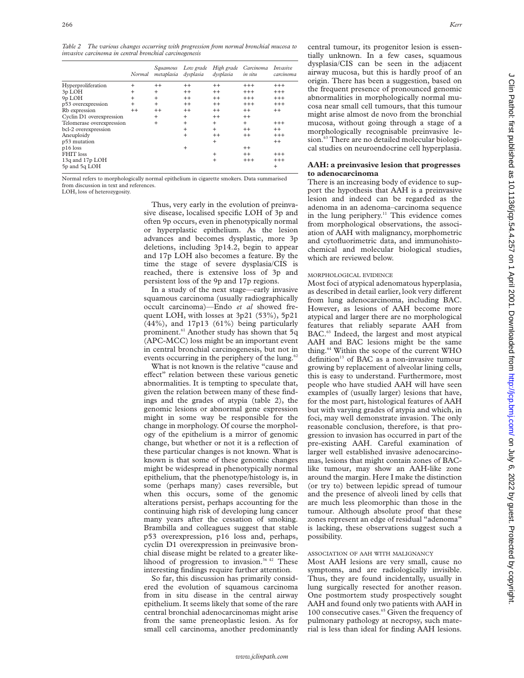*Table 2 The various changes occurring with progression from normal bronchial mucosa to invasive carcinoma in central bronchial carcinogenesis*

|                           | Normal    | Sauamous<br>metaplasia | Low grade<br>dysplasia | High grade<br>dysplasia | Carcinoma<br>in situ | Invasive<br>carcinoma |
|---------------------------|-----------|------------------------|------------------------|-------------------------|----------------------|-----------------------|
| Hyperproliferation        | $\ddot{}$ | $^{++}$                | $^{++}$                | $++$                    | $^{+++}$             | $^{+++}$              |
| 3p LOH                    | $\ddot{}$ | $\ddot{}$              | $^{++}$                | $^{++}$                 | $+++$                | $^{+++}$              |
| 9p LOH                    | $\ddot{}$ | $\ddot{}$              | $^{++}$                | $^{++}$                 | $+++$                | $^{+++}$              |
| p53 overexpression        | $\ddot{}$ | $+$                    | $^{++}$                | $++$                    | $^{+++}$             | $+++$                 |
| Rb expression             | $^{++}$   | $^{++}$                | $^{++}$                | $^{++}$                 | $++$                 | $^{++}$               |
| Cyclin D1 overexpression  |           | $\ddot{}$              | $\ddot{}$              | $^{++}$                 | $++$                 |                       |
| Telomerase overexpression |           | $\ddot{}$              | $\ddot{}$              | $\ddot{}$               | $+$                  | $^{+++}$              |
| bcl-2 overexpression      |           |                        | $\ddot{}$              | $\ddot{}$               | $++$                 | $^{++}$               |
| Aneuploidy                |           |                        | $\ddot{}$              | $^{++}$                 | $++$                 | $+++$                 |
| p53 mutation              |           |                        |                        | $\ddot{}$               |                      | $^{++}$               |
| $p16$ loss                |           |                        | $\ddot{}$              |                         | $^{++}$              |                       |
| FHIT loss                 |           |                        |                        | $\ddot{}$               | $++$                 | $^{+++}$              |
| 13q and 17p LOH           |           |                        |                        | $^{+}$                  | $+++$                | $^{+++}$              |
| 5p and 5q LOH             |           |                        |                        |                         |                      | $\ddot{}$             |

Normal refers to morphologically normal epithelium in cigarette smokers. Data summarised from discussion in text and references.

LOH, loss of heterozygosity.

Thus, very early in the evolution of preinvasive disease, localised specific LOH of 3p and often 9p occurs, even in phenotypically normal or hyperplastic epithelium. As the lesion advances and becomes dysplastic, more 3p deletions, including 3p14.2, begin to appear and 17p LOH also becomes a feature. By the time the stage of severe dysplasia/CIS is reached, there is extensive loss of 3p and persistent loss of the 9p and 17p regions.

In a study of the next stage—early invasive squamous carcinoma (usually radiographically occult carcinoma)—Endo *et al* showed frequent LOH, with losses at 3p21 (53%), 5p21 (44%), and 17p13 (61%) being particularly prominent.<sup>61</sup> Another study has shown that 5q (APC-MCC) loss might be an important event in central bronchial carcinogenesis, but not in events occurring in the periphery of the lung.<sup>62</sup>

What is not known is the relative "cause and effect" relation between these various genetic abnormalities. It is tempting to speculate that, given the relation between many of these findings and the grades of atypia (table 2), the genomic lesions or abnormal gene expression might in some way be responsible for the change in morphology. Of course the morphology of the epithelium is a mirror of genomic change, but whether or not it is a reflection of these particular changes is not known. What is known is that some of these genomic changes might be widespread in phenotypically normal epithelium, that the phenotype/histology is, in some (perhaps many) cases reversible, but when this occurs, some of the genomic alterations persist, perhaps accounting for the continuing high risk of developing lung cancer many years after the cessation of smoking. Brambilla and colleagues suggest that stable p53 overexpression, p16 loss and, perhaps, cyclin D1 overexpression in preinvasive bronchial disease might be related to a greater likelihood of progression to invasion.<sup>36,42</sup> These interesting findings require further attention.

So far, this discussion has primarily considered the evolution of squamous carcinoma from in situ disease in the central airway epithelium. It seems likely that some of the rare central bronchial adenocarcinomas might arise from the same preneoplastic lesion. As for small cell carcinoma, another predominantly central tumour, its progenitor lesion is essentially unknown. In a few cases, squamous dysplasia/CIS can be seen in the adjacent airway mucosa, but this is hardly proof of an origin. There has been a suggestion, based on the frequent presence of pronounced genomic abnormalities in morphologically normal mucosa near small cell tumours, that this tumour might arise almost de novo from the bronchial mucosa, without going through a stage of a morphologically recognisable preinvasive lesion.<sup>63</sup> There are no detailed molecular biological studies on neuroendocrine cell hyperplasia.

## **AAH: a preinvasive lesion that progresses to adenocarcinoma**

There is an increasing body of evidence to support the hypothesis that AAH is a preinvasive lesion and indeed can be regarded as the adenoma in an adenoma–carcinoma sequence in the lung periphery.<sup>11</sup> This evidence comes from morphological observations, the association of AAH with malignancy, morphometric and cytofluorimetric data, and immunohistochemical and molecular biological studies, which are reviewed below.

#### MORPHOLOGICAL EVIDENCE

Most foci of atypical adenomatous hyperplasia, as described in detail earlier, look very different from lung adenocarcinoma, including BAC. However, as lesions of AAH become more atypical and larger there are no morphological features that reliably separate AAH from BAC.<sup>63</sup> Indeed, the largest and most atypical AAH and BAC lesions might be the same thing.64 Within the scope of the current WHO definition<sup>13</sup> of BAC as a non-invasive tumour growing by replacement of alveolar lining cells, this is easy to understand. Furthermore, most people who have studied AAH will have seen examples of (usually larger) lesions that have, for the most part, histological features of AAH but with varying grades of atypia and which, in foci, may well demonstrate invasion. The only reasonable conclusion, therefore, is that progression to invasion has occurred in part of the pre-existing AAH. Careful examination of larger well established invasive adenocarcinomas, lesions that might contain zones of BAClike tumour, may show an AAH-like zone around the margin. Here I make the distinction (or try to) between lepidic spread of tumour and the presence of alveoli lined by cells that are much less pleomorphic than those in the tumour. Although absolute proof that these zones represent an edge of residual "adenoma" is lacking, these observations suggest such a possibility.

#### ASSOCIATION OF AAH WITH MALIGNANCY

Most AAH lesions are very small, cause no symptoms, and are radiologically invisible. Thus, they are found incidentally, usually in lung surgically resected for another reason. One postmortem study prospectively sought AAH and found only two patients with AAH in 100 consecutive cases.<sup>65</sup> Given the frequency of pulmonary pathology at necropsy, such material is less than ideal for finding AAH lesions.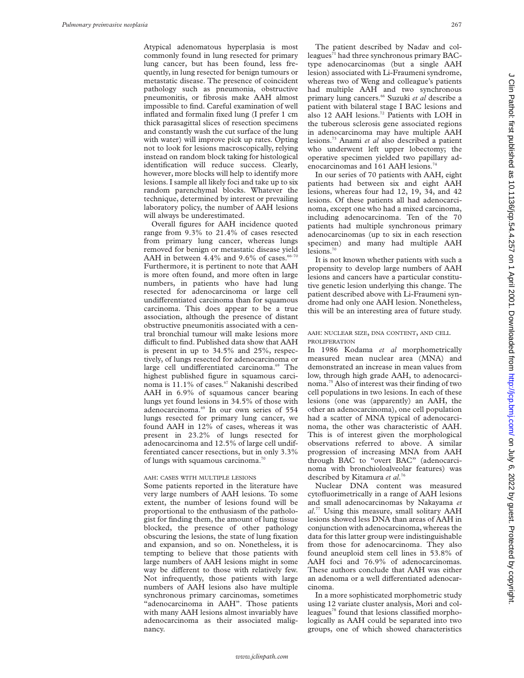Atypical adenomatous hyperplasia is most commonly found in lung resected for primary lung cancer, but has been found, less frequently, in lung resected for benign tumours or metastatic disease. The presence of coincident pathology such as pneumonia, obstructive pneumonitis, or fibrosis make AAH almost impossible to find. Careful examination of well inflated and formalin fixed lung (I prefer 1 cm thick parasagittal slices of resection specimens and constantly wash the cut surface of the lung with water) will improve pick up rates. Opting not to look for lesions macroscopically, relying instead on random block taking for histological identification will reduce success. Clearly, however, more blocks will help to identify more lesions. I sample all likely foci and take up to six random parenchymal blocks. Whatever the technique, determined by interest or prevailing laboratory policy, the number of AAH lesions will always be underestimated.

Overall figures for AAH incidence quoted range from 9.3% to 21.4% of cases resected from primary lung cancer, whereas lungs removed for benign or metastatic disease yield AAH in between  $4.4\%$  and  $9.6\%$  of cases.<sup>66-70</sup> Furthermore, it is pertinent to note that AAH is more often found, and more often in large numbers, in patients who have had lung resected for adenocarcinoma or large cell undifferentiated carcinoma than for squamous carcinoma. This does appear to be a true association, although the presence of distant obstructive pneumonitis associated with a central bronchial tumour will make lesions more difficult to find. Published data show that AAH is present in up to 34.5% and 25%, respectively, of lungs resected for adenocarcinoma or large cell undifferentiated carcinoma.<sup>69</sup> The highest published figure in squamous carcinoma is 11.1% of cases.<sup>67</sup> Nakanishi described AAH in 6.9% of squamous cancer bearing lungs yet found lesions in 34.5% of those with adenocarcinoma.<sup>69</sup> In our own series of 554 lungs resected for primary lung cancer, we found AAH in 12% of cases, whereas it was present in 23.2% of lungs resected for adenocarcinoma and 12.5% of large cell undifferentiated cancer resections, but in only 3.3% of lungs with squamous carcinoma.<sup>70</sup>

## AAH: CASES WITH MULTIPLE LESIONS

Some patients reported in the literature have very large numbers of AAH lesions. To some extent, the number of lesions found will be proportional to the enthusiasm of the pathologist for finding them, the amount of lung tissue blocked, the presence of other pathology obscuring the lesions, the state of lung fixation and expansion, and so on. Nonetheless, it is tempting to believe that those patients with large numbers of AAH lesions might in some way be different to those with relatively few. Not infrequently, those patients with large numbers of AAH lesions also have multiple synchronous primary carcinomas, sometimes "adenocarcinoma in AAH". Those patients with many AAH lesions almost invariably have adenocarcinoma as their associated malignancy.

The patient described by Nadav and colleagues<sup>71</sup> had three synchronous primary BACtype adenocarcinomas (but a single AAH lesion) associated with Li-Fraumeni syndrome, whereas two of Weng and colleague's patients had multiple AAH and two synchronous primary lung cancers.66 Suzuki *et al* describe a patient with bilateral stage I BAC lesions and also 12 AAH lesions.<sup>72</sup> Patients with LOH in the tuberous sclerosis gene associated regions in adenocarcinoma may have multiple AAH lesions.73 Anami *et al* also described a patient who underwent left upper lobectomy; the operative specimen yielded two papillary adenocarcinomas and 161 AAH lesions.<sup>74</sup>

In our series of 70 patients with AAH, eight patients had between six and eight AAH lesions, whereas four had 12, 19, 34, and 42 lesions. Of these patients all had adenocarcinoma, except one who had a mixed carcinoma, including adenocarcinoma. Ten of the 70 patients had multiple synchronous primary adenocarcinomas (up to six in each resection specimen) and many had multiple AAH lesions.<sup>70</sup>

It is not known whether patients with such a propensity to develop large numbers of AAH lesions and cancers have a particular constitutive genetic lesion underlying this change. The patient described above with Li-Fraumeni syndrome had only one AAH lesion. Nonetheless, this will be an interesting area of future study.

## AAH: NUCLEAR SIZE, DNA CONTENT, AND CELL PROLIFERATION

In 1986 Kodama *et al* morphometrically measured mean nuclear area (MNA) and demonstrated an increase in mean values from low, through high grade AAH, to adenocarcinoma.75 Also of interest was their finding of two cell populations in two lesions. In each of these lesions (one was (apparently) an AAH, the other an adenocarcinoma), one cell population had a scatter of MNA typical of adenocarcinoma, the other was characteristic of AAH. This is of interest given the morphological observations referred to above. A similar progression of increasing MNA from AAH through BAC to "overt BAC" (adenocarcinoma with bronchioloalveolar features) was described by Kitamura *et al*. 76

Nuclear DNA content was measured cytofluorimetrically in a range of AAH lesions and small adenocarcinomas by Nakayama *et al*. <sup>77</sup> Using this measure, small solitary AAH lesions showed less DNA than areas of AAH in conjunction with adenocarcinoma, whereas the data for this latter group were indistinguishable from those for adenocarcinoma. They also found aneuploid stem cell lines in 53.8% of AAH foci and 76.9% of adenocarcinomas. These authors conclude that AAH was either an adenoma or a well differentiated adenocarcinoma.

In a more sophisticated morphometric study using 12 variate cluster analysis, Mori and colleagues<sup>78</sup> found that lesions classified morphologically as AAH could be separated into two groups, one of which showed characteristics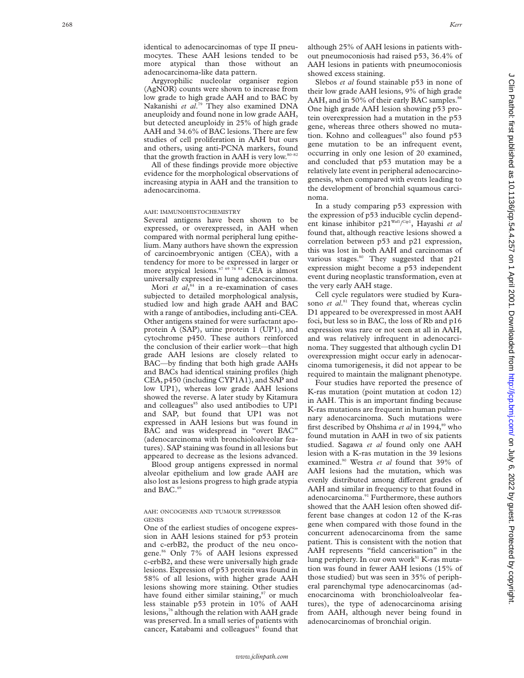identical to adenocarcinomas of type II pneumocytes. These AAH lesions tended to be more atypical than those without an adenocarcinoma-like data pattern.

Argyrophilic nucleolar organiser region (AgNOR) counts were shown to increase from low grade to high grade AAH and to BAC by Nakanishi *et al* . <sup>79</sup> They also examined DNA aneuploidy and found none in low grade AAH, but detected aneuploidy in 25% of high grade AAH and 34.6% of BAC lesions. There are few studies of cell proliferation in AAH but ours and others, using anti-PCNA markers, found that the growth fraction in AAH is very low.<sup>80-82</sup>

All of these findings provide more objective evidence for the morphological observations of increasing atypia in AAH and the transition to adenocarcinoma.

#### AAH : IMMUNOHISTOCHEMISTRY

Several antigens have been shown to be expressed, or overexpressed, in AAH when compared with normal peripheral lung epithelium. Many authors have shown the expression of carcinoembryonic antigen (CEA), with a tendency for more to be expressed in larger or more atypical lesions.<sup>67 69 76</sup> 83 CEA is almost universally expressed in lung adenocarcinoma.

Mori *et al*, <sup>84</sup> in a re-examination of cases subjected to detailed morphological analysis, studied low and high grade AAH and BAC with a range of antibodies, including anti-CEA. Other antigens stained for were surfactant apoprotein A (SAP), urine protein 1 (UP1), and cytochrome p450. These authors reinforced the conclusion of their earlier work—that high grade AAH lesions are closely related to BAC—by finding that both high grade AAHs and BACs had identical staining profiles (high CEA, p450 (including CYP1A1), and SAP and low UP1), whereas low grade AAH lesions showed the reverse. A later study by Kitamura and colleagues<sup>85</sup> also used antibodies to UP1 and SAP, but found that UP1 was not expressed in AAH lesions but was found in BAC and was widespread in "overt BAC" (adenocarcinoma with bronchioloalveolar features). SAP staining was found in all lesions but appeared to decrease as the lesions advanced.

Blood group antigens expressed in normal alveolar epithelium and low grade AAH are also lost as lesions progress to high grade atypia and BAC.<sup>69</sup>

#### AAH : ONCOGENES AND TUMOUR SUPPRESSOR **GENES**

One of the earliest studies of oncogene expression in AAH lesions stained for p53 protein and c-erbB2, the product of the neu oncogene.86 Only 7% of AAH lesions expressed c-erbB2, and these were universally high grade lesions. Expression of p53 protein was found in 58% of all lesions, with higher grade AAH lesions showing more staining. Other studies have found either similar staining,<sup>87</sup> or much less stainable p53 protein in 10% of AAH lesions,76 although the relation with AAH grade was preserved. In a small series of patients with cancer, Katabami and colleagues<sup>41</sup> found that although 25% of AAH lesions in patients without pneumoconiosis had raised p53, 36.4% of AAH lesions in patients with pneumoconiosis showed excess staining.

Slebos *et al* found stainable p53 in none of their low grade AAH lesions, 9% of high grade AAH, and in 50% of their early BAC samples.<sup>88</sup> One high grade AAH lesion showing p53 protein overexpression had a mutation in the p53 gene, whereas three others showed no mutation. Kohno and colleagues $45$  also found p53 gene mutation to be an infrequent event, occurring in only one lesion of 20 examined, and concluded that p53 mutation may be a relatively late event in peripheral adenocarcinogenesis, when compared with events leading to the development of bronchial squamous carcinoma.

In a study comparing p53 expression with the expression of p53 inducible cyclin dependent kinase inhibitor p21Waf1/ Cip1, Hayashi *et al* found that, although reactive lesions showed a correlation between p53 and p21 expression, this was lost in both AAH and carcinomas of various stages.<sup>80</sup> They suggested that p21 expression might become a p53 independent event during neoplastic transformation, even at the very early AAH stage.

Cell cycle regulators were studied by Kurasono *et al*. <sup>81</sup> They found that, whereas cyclin D1 appeared to be overexpressed in most AAH foci, but less so in BAC, the loss of Rb and p16 expression was rare or not seen at all in AAH, and was relatively infrequent in adenocarcinoma. They suggested that although cyclin D1 overexpression might occur early in adenocarcinoma tumorigenesis, it did not appear to be required to maintain the malignant phenotype.

Four studies have reported the presence of K-ras mutation (point mutation at codon 12) in AAH. This is an important finding because K-ras mutations are frequent in human pulmonary adenocarcinoma. Such mutations were first described by Ohshima et al in 1994,<sup>89</sup> who found mutation in AAH in two of six patients studied. Sagawa *et al* found only one AAH lesion with a K-ras mutation in the 39 lesions examined.90 Westra *et al* found that 39% of AAH lesions had the mutation, which was evenly distributed among different grades of AAH and similar in frequency to that found in adenocarcinoma.<sup>91</sup> Furthermore, these authors showed that the AAH lesion often showed different base changes at codon 12 of the K-ras gene when compared with those found in the concurrent adenocarcinoma from the same patient. This is consistent with the notion that AAH represents "field cancerisation" in the lung periphery. In our own work<sup>51</sup> K-ras mutation was found in fewer AAH lesions (15% of those studied) but was seen in 35% of peripheral parenchymal type adenocarcinomas (adenocarcinoma with bronchioloalveolar features), the type of adenocarcinoma arising from AAH, although never being found in adenocarcinomas of bronchial origin.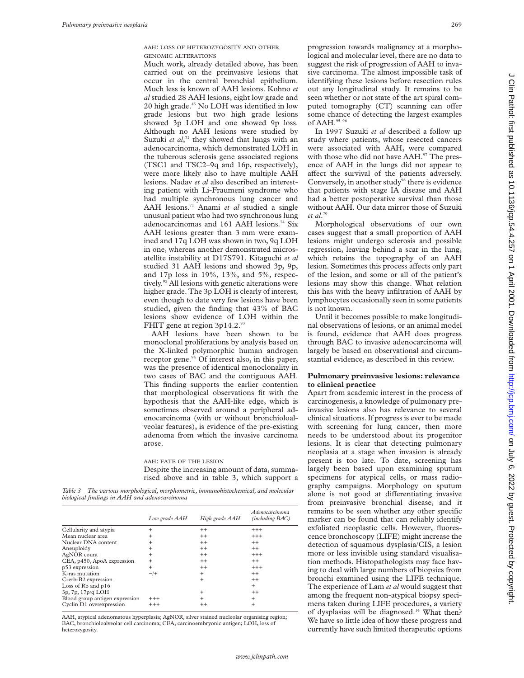AAH: LOSS OF HETEROZYGOSITY AND OTHER GENOMIC ALTERATIONS

Much work, already detailed above, has been carried out on the preinvasive lesions that occur in the central bronchial epithelium. Much less is known of AAH lesions. Kohno *et al* studied 28 AAH lesions, eight low grade and 20 high grade.45 No LOH was identified in low grade lesions but two high grade lesions showed 3p LOH and one showed 9p loss. Although no AAH lesions were studied by Suzuki et al,<sup>73</sup> they showed that lungs with an adenocarcinoma, which demonstrated LOH in the tuberous sclerosis gene associated regions (TSC1 and TSC2–9q and 16p, respectively), were more likely also to have multiple AAH lesions. Nadav *et al* also described an interesting patient with Li-Fraumeni syndrome who had multiple synchronous lung cancer and AAH lesions.71 Anami *et al* studied a single unusual patient who had two synchronous lung adenocarcinomas and 161 AAH lesions.<sup>74</sup> Six AAH lesions greater than 3 mm were examined and 17q LOH was shown in two, 9q LOH in one, whereas another demonstrated microsatellite instability at D17S791. Kitaguchi *et al* studied 31 AAH lesions and showed 3p, 9p, and 17p loss in 19%, 13%, and 5%, respectively.<sup>92</sup> All lesions with genetic alterations were higher grade. The 3p LOH is clearly of interest, even though to date very few lesions have been studied, given the finding that 43% of BAC lesions show evidence of LOH within the FHIT gene at region 3p14.2.9

AAH lesions have been shown to be monoclonal proliferations by analysis based on the X-linked polymorphic human androgen receptor gene. $94$  Of interest also, in this paper, was the presence of identical monoclonality in two cases of BAC and the contiguous AAH. This finding supports the earlier contention that morphological observations fit with the hypothesis that the AAH-like edge, which is sometimes observed around a peripheral adenocarcinoma (with or without bronchioloalveolar features), is evidence of the pre-existing adenoma from which the invasive carcinoma arose.

AAH: FATE OF THE LESION

Despite the increasing amount of data, summarised above and in table 3, which support a

*Table 3 The various morphological, morphometric, immunohistochemical, and molecular biological findings in AAH and adenocarcinoma*

|                                | Low grade AAH | High grade AAH | Adenocarcinoma<br>(including BAC) |
|--------------------------------|---------------|----------------|-----------------------------------|
| Cellularity and atypia         | $\ddot{}$     | $^{++}$        | $^{+++}$                          |
| Mean nuclear area              | $\ddot{}$     | $^{++}$        | $^{+++}$                          |
| Nuclear DNA content            | $\ddot{}$     | $^{++}$        | $^{++}$                           |
| Aneuploidy                     | $\ddot{}$     | $^{++}$        | $^{++}$                           |
| AgNOR count                    | $\ddot{}$     | $^{++}$        | $+++$                             |
| CEA, p450, ApoA expression     | $^{+}$        | $^{++}$        | $^{++}$                           |
| p53 expression                 | $\ddot{}$     | $^{++}$        | $+++$                             |
| K-ras mutation                 | $-\prime$ +   | $\ddot{}$      | $^{++}$                           |
| C-erb-B2 expression            |               | $\ddot{}$      | $^{++}$                           |
| Loss of $Rb$ and $p16$         |               |                | $\ddot{}$                         |
| 3p, 7p, 17p/q LOH              |               | $\ddot{}$      | $^{++}$                           |
| Blood group antigen expression | $^{+++}$      | $\ddot{}$      | $\ddot{}$                         |
| Cyclin D1 overexpression       | $^{+++}$      | $^{++}$        | $\ddot{}$                         |

AAH, atypical adenomatous hyperplasia; AgNOR, silver stained nucleolar organising region; BAC, bronchioloalveolar cell carcinoma; CEA, carcinoembryonic antigen; LOH, loss of heterozygosity.

progression towards malignancy at a morphological and molecular level, there are no data to suggest the risk of progression of AAH to invasive carcinoma. The almost impossible task of identifying these lesions before resection rules out any longitudinal study. It remains to be seen whether or not state of the art spiral computed tomography (CT) scanning can offer some chance of detecting the largest examples of AAH.95 9

In 1997 Suzuki *et al* described a follow up study where patients, whose resected cancers were associated with AAH, were compared with those who did not have AAH.<sup>97</sup> The presence of AAH in the lungs did not appear to affect the survival of the patients adversely. Conversely, in another study<sup>98</sup> there is evidence that patients with stage IA disease and AAH had a better postoperative survival than those without AAH. Our data mirror those of Suzuki *et al*. 70

Morphological observations of our own cases suggest that a small proportion of AAH lesions might undergo sclerosis and possible regression, leaving behind a scar in the lung, which retains the topography of an AAH lesion. Sometimes this process affects only part of the lesion, and some or all of the patient's lesions may show this change. What relation this has with the heavy infiltration of AAH by lymphocytes occasionally seen in some patients is not known.

Until it becomes possible to make longitudinal observations of lesions, or an animal model is found, evidence that AAH does progress through BAC to invasive adenocarcinoma will largely be based on observational and circumstantial evidence, as described in this review.

#### **Pulmonary preinvasive lesions: relevance to clinical practice**

Apart from academic interest in the process of carcinogenesis, a knowledge of pulmonary preinvasive lesions also has relevance to several clinical situations. If progress is ever to be made with screening for lung cancer, then more needs to be understood about its progenitor lesions. It is clear that detecting pulmonary neoplasia at a stage when invasion is already present is too late. To date, screening has largely been based upon examining sputum specimens for atypical cells, or mass radiography campaigns. Morphology on sputum alone is not good at differentiating invasive from preinvasive bronchial disease, and it remains to be seen whether any other specific marker can be found that can reliably identify exfoliated neoplastic cells. However, fluorescence bronchoscopy (LIFE) might increase the detection of squamous dysplasia/CIS, a lesion more or less invisible using standard visualisation methods. Histopathologists may face having to deal with large numbers of biopsies from bronchi examined using the LIFE technique. The experience of Lam *et al* would suggest that among the frequent non-atypical biopsy specimens taken during LIFE procedures, a variety of dysplasias will be diagnosed.<sup>14</sup> What then? We have so little idea of how these progress and currently have such limited therapeutic options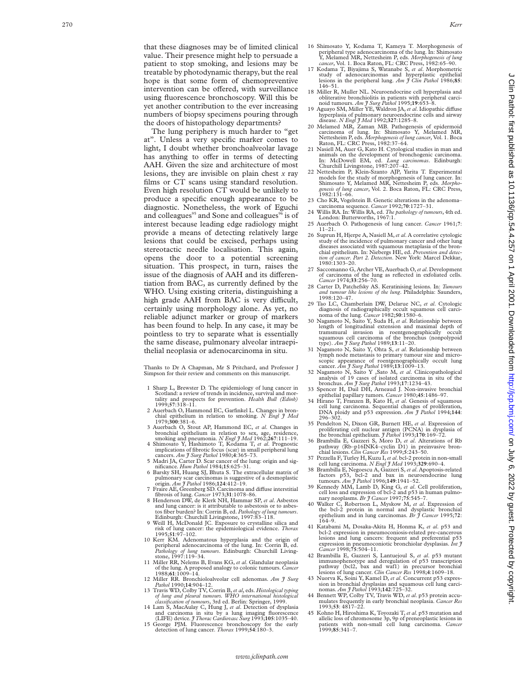that these diagnoses may be of limited clinical value. Their presence might help to persuade a patient to stop smoking, and lesions may be treatable by photodynamic therapy, but the real hope is that some form of chemopreventive intervention can be offered, with surveillance using fluorescence bronchoscopy. Will this be yet another contribution to the ever increasing numbers of biopsy specimens pouring through the doors of histopathology departments?

The lung periphery is much harder to "get at". Unless a very specific marker comes to light, I doubt whether bronchoalveolar lavage has anything to offer in terms of detecting AAH. Given the size and architecture of most lesions, they are invisible on plain chest *x* ray films or CT scans using standard resolution. Even high resolution CT would be unlikely to produce a specific enough appearance to be diagnostic. Nonetheless, the work of Eguchi and colleagues<sup>95</sup> and Sone and colleagues<sup>96</sup> is of interest because leading edge radiology might provide a means of detecting relatively large lesions that could be excised, perhaps using stereotactic needle localisation. This again, opens the door to a potential screening situation. This prospect, in turn, raises the issue of the diagnosis of AAH and its differentiation from BAC, as currently defined by the WHO. Using existing criteria, distinguishing a high grade AAH from BAC is very difficult, certainly using morphology alone. As yet, no reliable adjunct marker or group of markers has been found to help. In any case, it may be pointless to try to separate what is essentially the same disease, pulmonary alveolar intraepithelial neoplasia or adenocarcinoma in situ.

Thanks to Dr A Chapman, Mr S Pritchard, and Professor J Simpson for their review and comments on this manuscript.

- 1 Sharp L, Brewster D. The epidemiology of lung cancer in Scotland: a review of trends in incidence, survival and mortality and prospects for prevention. *Health Bull (Edinb)* 1999;**57**:318–11.
- 2 Auerbach O, Hammond EC, Garfinkel L. Changes in bronchial epithelium in relation to smoking. *N Engl J Med*
- 1979;**300**:381–6. 3 Auerbach O, Stout AP, Hammond EC, *et al*. Changes in bronchial epithelium in relation to sex, age, residence, smoking and pneumonia. *N Engl J Med* 1962;**267**:111–19.
- 4 Shimosato Y, Hashimoto T, Kodama T, *et al*. Prognostic
- implications of fibrotic focus (scar) in small peripheral lung cancers. *Am J Surg Pathol* 1980; **4**:365–73. 5 Madri JA, Carter D. Scar cancer of the lung: origin and significance*. Hum Pathol* 1984;**15**:625–31.
- 6 Barsky SH, Huang SJ, Bhuta S. The extracellular matrix of pulmonary scar carcinomas is suggestive of a desmoplastic origin*. Am J Pathol* 1986;**124**:412–19.
- 7 Fraire AE, Greenberg SD. Carcinoma and di Vuse interstitial fibrosis of lung. *Cancer* 1973;**31**:1078–86. 8 Henderson DW, de Klerk NH, Hammar SP, *et al*. Asbestos
- and lung cancer: is it attributable to asbestosis or to asbestos fiber burden? In: Corrin B, ed. *Pathology of lung tumours*. Edinburgh: Churchill Livingstone, 1997:83–118. 9 Weill H, McDonald JC. Exposure to crystalline silica and
- risk of lung cancer: the epidemiological evidence. *Thorax*
- 1995;**51**:97–102. 10 Kerr KM. Adenomatous hyperplasia and the origin of peripheral adenocarcinoma of the lung. In: Corrin B, ed. *Pathology of lung tumours*. Edinburgh: Churchill Living-stone, 1997:119–34.
- 11 Miller RR, Nelems B, Evans KG, *et al*. Glandular neoplasia of the lung. A proposed analogy to colonic tumours. *Cancer* 1988;**61**:1009–14.
- 12 Miller RR. Bronchioloalveolar cell adenomas*. Am J Surg*
- Pathol 1990;14:904-12.<br>13 Travis WD, Colby TV, Corrin B, et al, eds. Histological typing<br>of lung and pleural tumours. WHO international histological<br>classification of tumours, 3rd ed. Berlin: Springer, 1999.
- 14 Lam S, MacAulay C, Hung J, *et al*. Detection of dysplasia and carcinoma in situ by a lung imaging fluorescence (LIFE) device*. J Thorac Cardiovasc Surg* 1993;**105**:1035–40. 15 George PJM. Fluorescence bronchoscopy for the early
- detection of lung cancer. *Thorax* 1999;**54**:180–3.
- 16 Shimosato Y, Kodama T, Kameya T. Morphogenesis of peripheral type adenocarcinoma of the lung. In: Shimosato Y, Melamed MR, Nettesheim P, eds. *Morphogenesis of lung cancer*, Vol. 1. Boca Raton, FL: CRC Press, 1982:65–90.
- 17 Kodama T, Biyajima S, Watanabe S, *et al*. Morphometric study of adenocarcinomas and hyperplastic epithelial lesions in the peripheral lung. *Am J Clin Pathol* 1986;**85** : 146–51.
- 18 Miller R, Muller NL. Neuroendocrine cell hyperplasia and obliterative bronchiolitis in patients with peripheral carci-
- noid tumours. *Am J Surg Pathol* 1995;19:653–8.<br>19 Aguayo SM, Miller YE, Waldron JA, *et al*. Idiopathic diffuse
- hyperplasia of pulmonary neuroendocrine cells and airway<br>disease. N Engl J Med 1992;327:1285-8.<br>20 Melamed MR, Zaman MB. Pathogenesis of epidermoid<br>carcinoma of lung. In: Shimosato Y, Melamed MR,<br>Nettesheim P, eds. Morphog Raton, FL: CRC Press, 1982:37–64.
- 21 Nasiell M, Auer G, Kato H. Cytological studies in man and animals on the development of bronchogenic carcinoma. In: McDowell EM, ed. *Lung carcinomas*. Edinburgh: Churchill Livingstone, 1987:207–42.
- 22 Nettesheim P, Klein-Szanto AJP, Yarita T. Experimental models for the study of morphogenesis of lung cancer. In: Shimosato Y, Melamed MR, Nettesheim P, eds. *Morpho-genesis of lung cancer*, Vol. 2. Boca Raton, FL: CRC Press, 1982:131–66.
- 23 Cho KR, Vogelstein B. Genetic alterations in the adenoma– carcinoma sequence*. Cancer* 1992;**70**:1727–31.
- 24 Willis RA. In: Willis RA, ed. *The pathology of tumours*, 4th ed. London: Butterworths, 1967:1.
- 25 Auerbach O. Pathogenesis of lung cancer*. Cancer* 1961; **7** : 11–21.
- 26 Suprun H, Hjerpe A, Nasiell M,*et al*. A correlative cytologic study of the incidence of pulmonary cancer and other lung diseases associated with squamous metaplasia of the bronchial epithelium. In: Niebergs HE, ed. *Prevention and detec-tion of cancer*. *Part 2. Detection*. New York: Marcel Dekkar, 1980:1303–20.
- 27 Saccomanno G, Archer VE, Auerbach O,*et al*. Development of carcinoma of the lung as reflected in exfoliated cells *. Cancer* 1974;**33**:256–70.
- 28 Carter D, Patchefsky AS. Keratinising lesions. In: *Tumours and tumour like lesions of the lung*. Philadelphia: Saunders, 1998:120–47.
- 29 Tao LC, Chamberlain DW, Delarue NC, *et al*. Cytologic diagnosis of radiographically occult squamous cell carcinoma of the lung. *Cancer* 1982;**50**:1580–6.
- 30 Nagamoto N, Saito Y, Suda H, *et al*. Relationship between length of longitudinal extension and maximal depth of tramsmural invasion in roentgenographically occult squamous cell carcinoma of the bronchus (nonpolypoid type). *Am J Surg Pathol* 1989;**13**:11–20.
- 31 Nagamoto N, Saito Y, Ohta S, *et al*. Relationship between lymph node metastasis to primary tumour size and microscopic appearance of roentgenographically occult lung cancer*. Am J Surg Pathol* 1989;**13**:1009–13.
- 32 Nagamoto N, Saito Y ,Sato M, *et al*. Clinicopathological analysis of 19 cases of isolated carcinoma in situ of the bronchus. *Am J Surg Pathol* 1993;**17**:1234–43.
- 33 Spencer H, Dail DH, Arneaud J. Non-invasive bronchial
- epithelial papillary tumors*. Cancer* 1980;**45**:1486–97. 34 Hirano T, Franzen B, Kato H, *et al*. Genesis of squamous cell lung carcinoma. Sequential changes of proliferation, DNA ploidy and p53 expression. *Am J Pathol* 1994;**144** : 296–302.
- 35 Pendelton N, Dixon GR, Burnett HE, *et al*. Expression of proliferating cell nuclear antigen (PCNA) in dysplasia of the bronchial epithelium*. J Pathol* 1993;**170**:169–72.
- 36 Brambilla E, Gazzeri S, Moro D, *et al*. Alterations of Rb pathway (Rb–p16INK4–cyclin D1) in preinvasive bron-chial lesions*. Clin Cancer Res* 1999;**5**:243–50.
- 37 Pezzella F, Turley H, Kuzu I,*et al*. bcl-2 protein in non-small cell lung carcinoma*. N Engl J Med* 1993;**329**:690–4.
- 38 Brambilla E, Negoescu A, Gazzeri S, *et al*. Apoptosis-related factors p53, bcl-2 and bax in neuroendocrine lung tumours*. Am J Pathol* 1996;**149**:1941–52.
- 39 Kennedy MM, Lamb D, King G, *et al*. Cell proliferation, cell loss and expression of bcl-2 and p53 in human pulmo-
- nary neoplasms. Br J Cancer 1997;75:545–7.<br>Walker C, Robertson L, Myskow M, et al. Expression of 40 Walker C, Robertson L, Myskow M, *et al*. Expression of the bcl-2 protein in normal and dysplastic bronchial epithelium and in lung carcinomas*. Br J Cancer* 1995;**72** : 164–9.
- 41 Katabami M, Dosaka-Akita H, Honma K, *et al*. p53 and bcl-2 expression in pneumoconiosis-related pre-cancerous lesions and lung cancers: frequent and preferential p53 expression in pneumoconiotic bronchiolar dysplasias*. Int J Cancer* 1998;**75**:504–11.
- 42 Brambilla E, Gazzeri S, Lantuejoul S, *et al*. p53 mutant immunophenotype and deregulation of p53 transcription pathway (bcl2, bax and waf1) in precursor bronchial lesions of lung cancer*. Clin Cancer Res* 1998; **4**:1609–18.
- Nuorva K, Soini Y, Kamel D, et al. Concurrent p53 expression in bronchial dysplasias and squamous cell lung carci-nomas*. Am J Pathol* 1993;**142**:725–32.
- 44 Bennett WP, Colby TV, Travis WD, *et al*. p53 protein accu-mulates frequently in early bronchial neoplasia. *Cancer Res* 1993;**53**: 4817–22.
- 45 Kohno H, Hiroshima K, Toyozaki T,*et al*. p53 mutation and allelic loss of chromosome 3p, 9p of preneoplastic lesions in patients with non-small cell lung carcinoma*. Cancer* 1999;**85**:341–7.